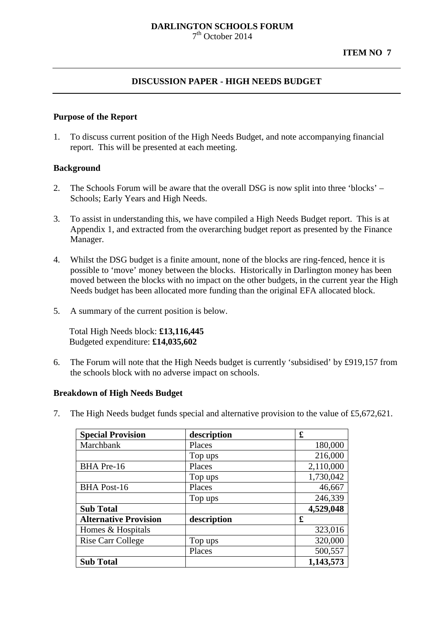#### **DARLINGTON SCHOOLS FORUM** 7th October 2014

### **DISCUSSION PAPER - HIGH NEEDS BUDGET**

#### **Purpose of the Report**

1. To discuss current position of the High Needs Budget, and note accompanying financial report. This will be presented at each meeting.

### **Background**

- 2. The Schools Forum will be aware that the overall DSG is now split into three 'blocks' Schools; Early Years and High Needs.
- 3. To assist in understanding this, we have compiled a High Needs Budget report. This is at Appendix 1, and extracted from the overarching budget report as presented by the Finance Manager.
- 4. Whilst the DSG budget is a finite amount, none of the blocks are ring-fenced, hence it is possible to 'move' money between the blocks. Historically in Darlington money has been moved between the blocks with no impact on the other budgets, in the current year the High Needs budget has been allocated more funding than the original EFA allocated block.
- 5. A summary of the current position is below.

Total High Needs block: **£13,116,445** Budgeted expenditure: **£14,035,602**

6. The Forum will note that the High Needs budget is currently 'subsidised' by £919,157 from the schools block with no adverse impact on schools.

### **Breakdown of High Needs Budget**

7. The High Needs budget funds special and alternative provision to the value of £5,672,621.

| <b>Special Provision</b>     | description | £         |
|------------------------------|-------------|-----------|
| Marchbank                    | Places      | 180,000   |
|                              | Top ups     | 216,000   |
| BHA Pre-16                   | Places      | 2,110,000 |
|                              | Top ups     | 1,730,042 |
| <b>BHA Post-16</b>           | Places      | 46,667    |
|                              | Top ups     | 246,339   |
| <b>Sub Total</b>             |             | 4,529,048 |
| <b>Alternative Provision</b> | description | £         |
| Homes & Hospitals            |             | 323,016   |
| Rise Carr College            | Top ups     | 320,000   |
|                              | Places      | 500,557   |
| <b>Sub Total</b>             |             | 1,143,573 |